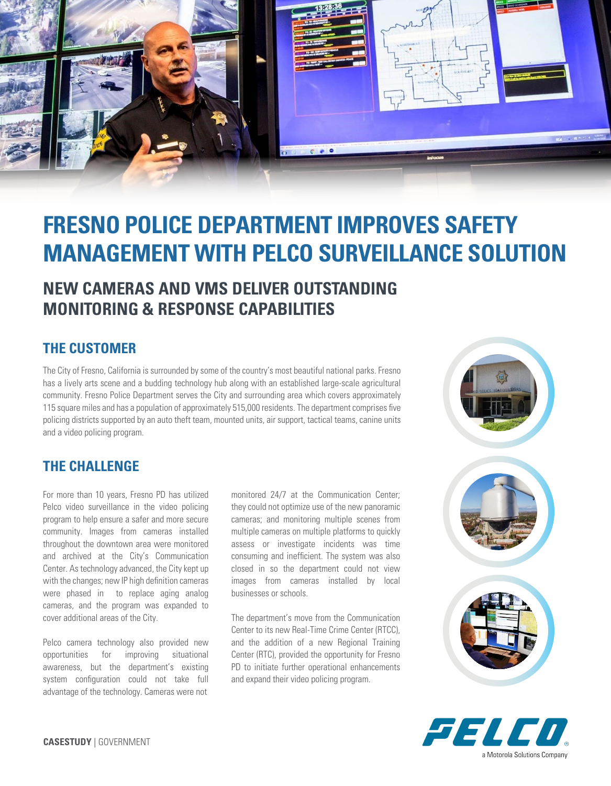

# **FRESNO POLICE DEPARTMENT IMPROVES SAFETY MANAGEMENT WITH PELCO SURVEILLANCE SOLUTION**

### **NEW CAMERAS AND VMS DELIVER OUTSTANDING MONITORING & RESPONSE CAPABILITIES**

#### **THE CUSTOMER**

The City of Fresno, California is surrounded by some of the country's most beautiful national parks. Fresno has a lively arts scene and a budding technology hub along with an established large-scale agricultural community. Fresno Police Department serves the City and surrounding area which covers approximately 115 square miles and has a population of approximately 515,000 residents. The department comprises five policing districts supported by an auto theft team, mounted units, air support, tactical teams, canine units and a video policing program.

#### **THE CHALLENGE**

For more than 10 years, Fresno PD has utilized Pelco video surveillance in the video policing program to help ensure a safer and more secure community. Images from cameras installed throughout the downtown area were monitored and archived at the City's Communication Center. As technology advanced, the City kept up with the changes; new IP high definition cameras were phased in to replace aging analog cameras, and the program was expanded to cover additional areas of the City.

Pelco camera technology also provided new opportunities for improving situational awareness, but the department's existing system configuration could not take full advantage of the technology. Cameras were not

monitored 24/7 at the Communication Center; they could not optimize use of the new panoramic cameras; and monitoring multiple scenes from multiple cameras on multiple platforms to quickly assess or investigate incidents was time consuming and inefficient. The system was also closed in so the department could not view images from cameras installed by local businesses or schools.

The department's move from the Communication Center to its new Real-Time Crime Center (RTCC), and the addition of a new Regional Training Center (RTC), provided the opportunity for Fresno PD to initiate further operational enhancements and expand their video policing program.